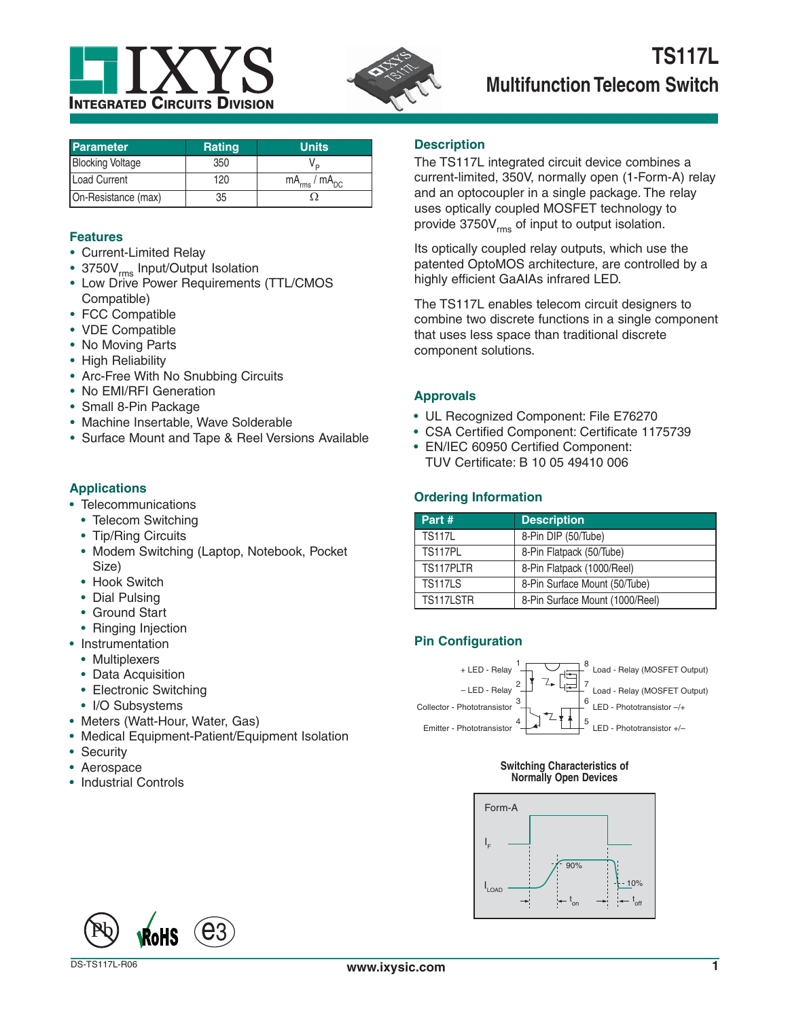



| <b>Parameter</b>        | <b>Rating</b> | <b>Units</b>           |
|-------------------------|---------------|------------------------|
| <b>Blocking Voltage</b> | 350           |                        |
| Load Current            | 120           | $mA_{rms}$ / $mA_{DC}$ |
| On-Resistance (max)     | 35            |                        |

### **Features**

- Current-Limited Relay
- 3750V<sub>rms</sub> Input/Output Isolation
- Low Drive Power Requirements (TTL/CMOS Compatible)
- FCC Compatible
- VDE Compatible
- No Moving Parts
- High Reliability
- Arc-Free With No Snubbing Circuits
- No EMI/RFI Generation
- Small 8-Pin Package
- Machine Insertable, Wave Solderable
- Surface Mount and Tape & Reel Versions Available

# **Applications**

- Telecommunications
	- Telecom Switching
	- Tip/Ring Circuits
	- Modem Switching (Laptop, Notebook, Pocket Size)
	- Hook Switch
	- Dial Pulsing
	- Ground Start
	- Ringing Injection
- Instrumentation
	- Multiplexers
	- Data Acquisition
	- Electronic Switching
	- I/O Subsystems
- Meters (Watt-Hour, Water, Gas)
- Medical Equipment-Patient/Equipment Isolation
- Security
- Aerospace
- Industrial Controls

#### **Description**

The TS117L integrated circuit device combines a current-limited, 350V, normally open (1-Form-A) relay and an optocoupler in a single package. The relay uses optically coupled MOSFET technology to provide 3750V<sub>rms</sub> of input to output isolation.

Its optically coupled relay outputs, which use the patented OptoMOS architecture, are controlled by a highly efficient GaAIAs infrared LED.

The TS117L enables telecom circuit designers to combine two discrete functions in a single component that uses less space than traditional discrete component solutions.

# **Approvals**

- UL Recognized Component: File E76270
- CSA Certified Component: Certificate 1175739
- EN/IEC 60950 Certified Component: TUV Certificate: B 10 05 49410 006

# **Ordering Information**

| Part #         | <b>Description</b>              |
|----------------|---------------------------------|
| <b>TS117L</b>  | 8-Pin DIP (50/Tube)             |
| <b>TS117PL</b> | 8-Pin Flatpack (50/Tube)        |
| TS117PLTR      | 8-Pin Flatpack (1000/Reel)      |
| <b>TS117LS</b> | 8-Pin Surface Mount (50/Tube)   |
| TS117LSTR      | 8-Pin Surface Mount (1000/Reel) |

# **Pin Configuration**



#### **Switching Characteristics of Normally Open Devices**



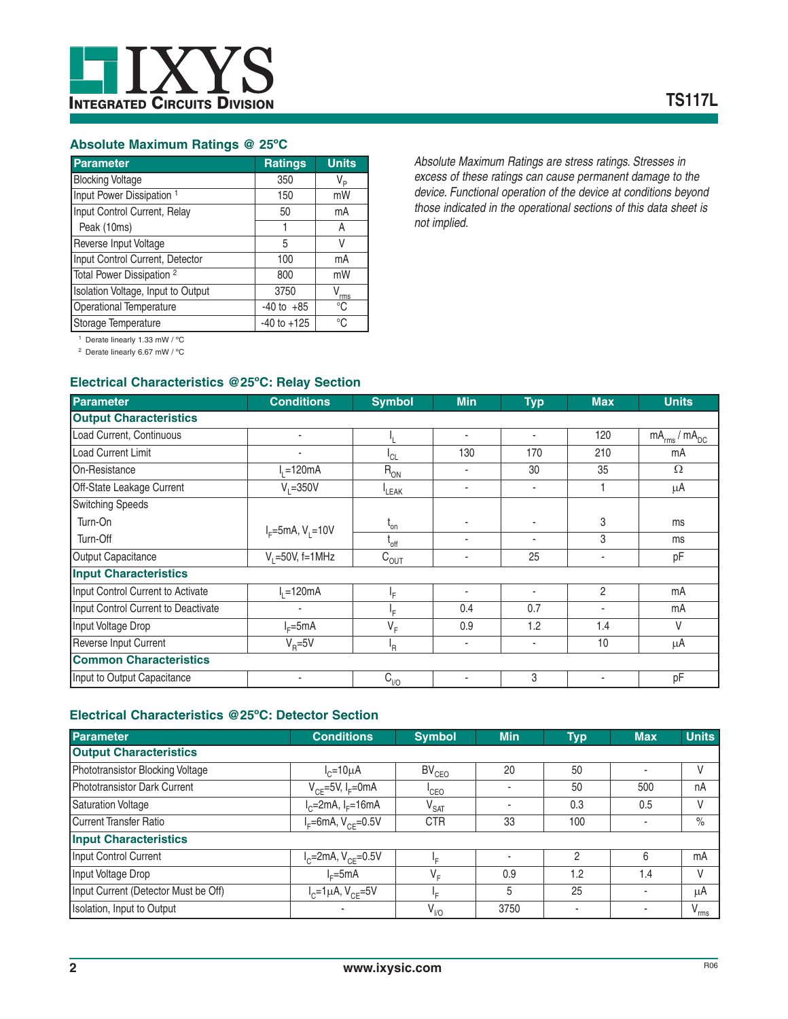

# **Absolute Maximum Ratings @ 25ºC**

| <b>Parameter</b>                     | <b>Ratings</b>  | <b>Units</b>  |
|--------------------------------------|-----------------|---------------|
| <b>Blocking Voltage</b>              | 350             | V,            |
| Input Power Dissipation <sup>1</sup> | 150             | mW            |
| Input Control Current, Relay         | 50              | mA            |
| Peak (10ms)                          |                 | A             |
| Reverse Input Voltage                | 5               | V             |
| Input Control Current, Detector      | 100             | mA            |
| Total Power Dissipation <sup>2</sup> | 800             | mW            |
| Isolation Voltage, Input to Output   | 3750            | $V_{\rm rms}$ |
| <b>Operational Temperature</b>       | $-40$ to $+85$  | °C            |
| Storage Temperature                  | $-40$ to $+125$ | °C            |

*Absolute Maximum Ratings are stress ratings. Stresses in excess of these ratings can cause permanent damage to the device. Functional operation of the device at conditions beyond those indicated in the operational sections of this data sheet is not implied.*

1 Derate linearly 1.33 mW / ºC

2 Derate linearly 6.67 mW / ºC

# **Electrical Characteristics @25ºC: Relay Section**

| <b>Parameter</b>                    | <b>Conditions</b>      | <b>Symbol</b> | <b>Min</b>               | <b>Typ</b>               | <b>Max</b>     | <b>Units</b>           |
|-------------------------------------|------------------------|---------------|--------------------------|--------------------------|----------------|------------------------|
| <b>Output Characteristics</b>       |                        |               |                          |                          |                |                        |
| Load Current, Continuous            | ٠                      |               | $\blacksquare$           | $\blacksquare$           | 120            | $mA_{rms}$ / $mA_{DC}$ |
| <b>Load Current Limit</b>           | ٠                      | $L_{CL}$      | 130                      | 170                      | 210            | mA                     |
| On-Resistance                       | $I_1 = 120mA$          | $R_{ON}$      |                          | 30                       | 35             | $\Omega$               |
| Off-State Leakage Current           | $V_1 = 350V$           | LEAK          | $\blacksquare$           | ٠                        |                | μA                     |
| <b>Switching Speeds</b>             |                        |               |                          |                          |                |                        |
| Turn-On                             | $I_F = 5mA, V_1 = 10V$ | $L_{on}$      |                          | ٠                        | 3              | ms                     |
| Turn-Off                            |                        | $L_{off}$     | $\overline{\phantom{a}}$ | $\overline{\phantom{0}}$ | 3              | ms                     |
| Output Capacitance                  | $V_1 = 50V$ , f=1MHz   | $C_{OUT}$     |                          | 25                       |                | pF                     |
| <b>Input Characteristics</b>        |                        |               |                          |                          |                |                        |
| Input Control Current to Activate   | $=120mA$               | ١F            | $\overline{\phantom{a}}$ | ٠                        | $\overline{c}$ | mA                     |
| Input Control Current to Deactivate | ٠                      | ١F            | 0.4                      | 0.7                      | ٠              | mA                     |
| Input Voltage Drop                  | $I_c = 5mA$            | $V_F$         | 0.9                      | 1.2                      | 1.4            | V                      |
| Reverse Input Current               | $V_{\rm p} = 5V$       | ΙŖ.           | $\blacksquare$           | $\overline{a}$           | 10             | μA                     |
| <b>Common Characteristics</b>       |                        |               |                          |                          |                |                        |
| Input to Output Capacitance         | ٠                      | $C_{1/0}$     | $\blacksquare$           | 3                        |                | pF                     |

# **Electrical Characteristics @25ºC: Detector Section**

| <b>Parameter</b>                     | <b>Conditions</b>                 | <b>Symbol</b>     | <b>Min</b>     | Typ           | <b>Max</b> | <b>Units</b>  |
|--------------------------------------|-----------------------------------|-------------------|----------------|---------------|------------|---------------|
| <b>Output Characteristics</b>        |                                   |                   |                |               |            |               |
| Phototransistor Blocking Voltage     | $I_c = 10 \mu A$                  | BV <sub>CEO</sub> | 20             | 50            | ٠          | V             |
| Phototransistor Dark Current         | $V_{CF}$ =5V, I <sub>F</sub> =0mA | <sup>I</sup> CEO  | $\blacksquare$ | 50            | 500        | nA            |
| <b>Saturation Voltage</b>            | $I_c = 2mA$ , $I_F = 16mA$        | $V_{\text{SAT}}$  |                | 0.3           | 0.5        | V             |
| <b>Current Transfer Ratio</b>        | $I_F$ =6mA, $V_{CF}$ =0.5V        | <b>CTR</b>        | 33             | 100           | ٠          | $\%$          |
| <b>Input Characteristics</b>         |                                   |                   |                |               |            |               |
| Input Control Current                | $I_{C}$ =2mA, $V_{CF}$ =0.5V      | Ιç                | $\blacksquare$ | $\mathcal{P}$ | 6          | mA            |
| Input Voltage Drop                   | $I_c = 5mA$                       | $V_F$             | 0.9            | 1.2           | 1.4        | V             |
| Input Current (Detector Must be Off) | $I_{C} = 1 \mu A$ , $V_{CF} = 5V$ | ١p.               | 5              | 25            | ٠          | μA            |
| Isolation, Input to Output           |                                   | $V_{\nu 0}$       | 3750           |               | ۰          | $V_{\rm rms}$ |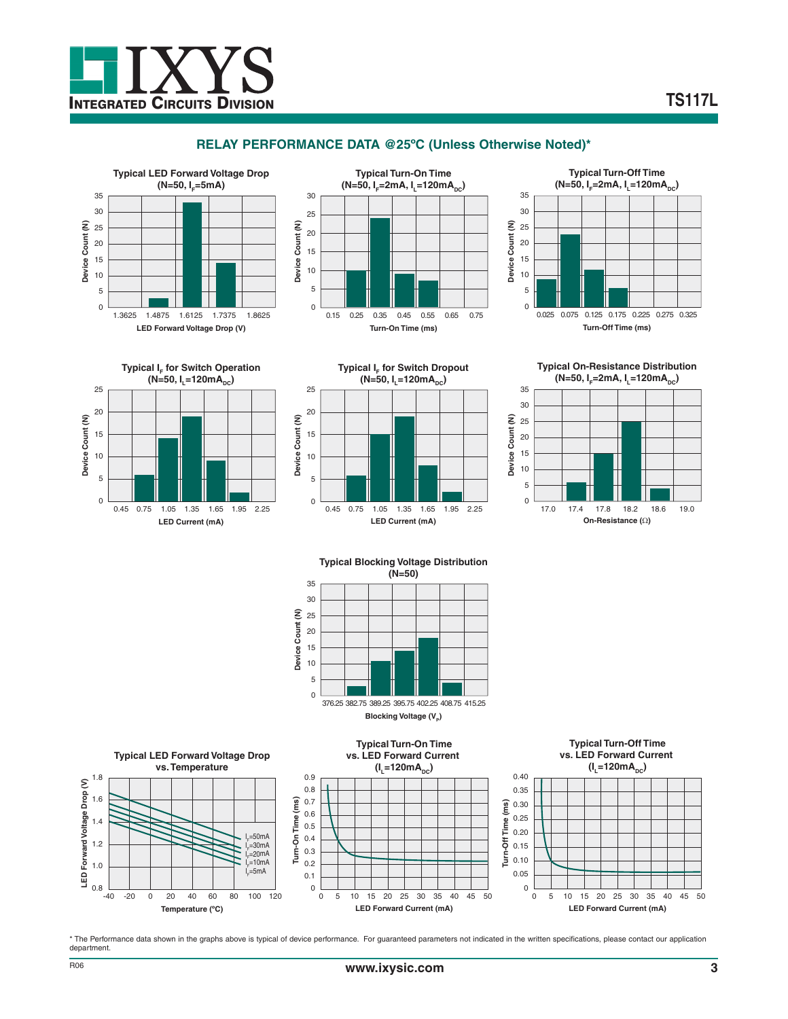

# **RELAY PERFORMANCE DATA @25ºC (Unless Otherwise Noted)\***









**Typical I<sub>F</sub> for Switch Dropout**  $(N=50, I_{\text{I}}=120mA_{\text{nc}})$ 25 20 15 10 5

0 0.45 0.75 1.05 1.35 1.65 1.95 2.25 **LED Current (mA)**

**Typical On-Resistance Distribution**  $(N=50, I<sub>F</sub>=2mA, I<sub>F</sub>=120mA<sub>pc</sub>)$ 





**Blocking Voltage (V<sub>p</sub>)** 



\* The Performance data shown in the graphs above is typical of device performance. For guaranteed parameters not indicated in the written specifications, please contact our application department.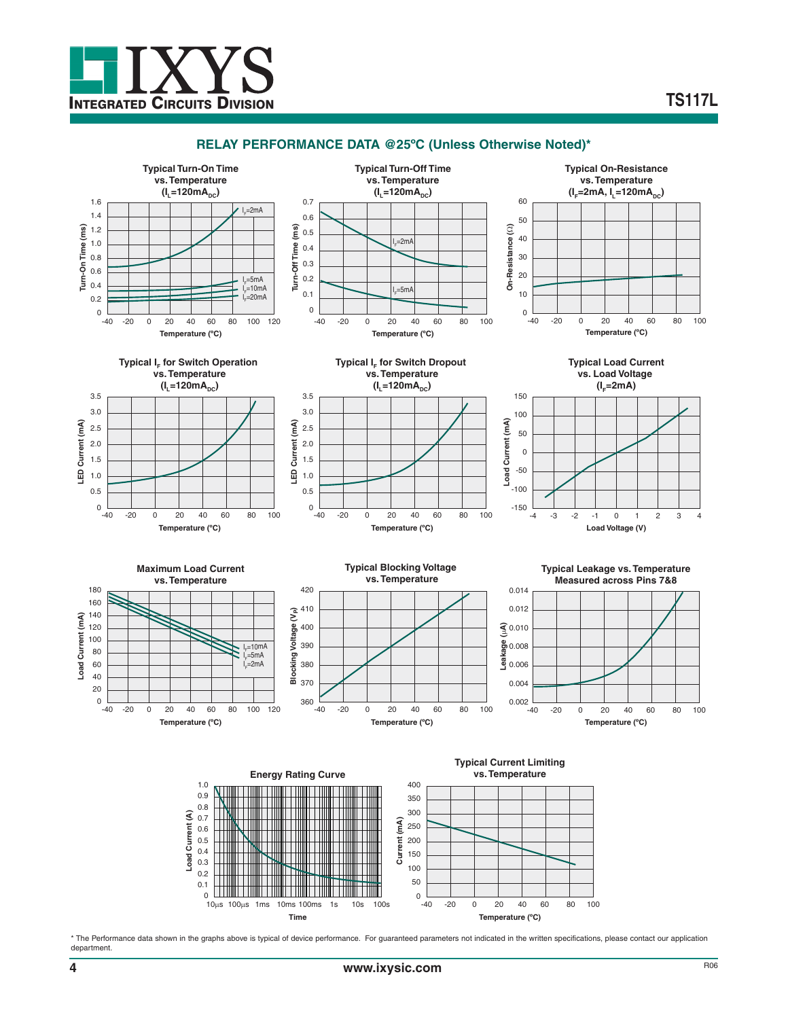

#### **RELAY PERFORMANCE DATA @25ºC (Unless Otherwise Noted)\***

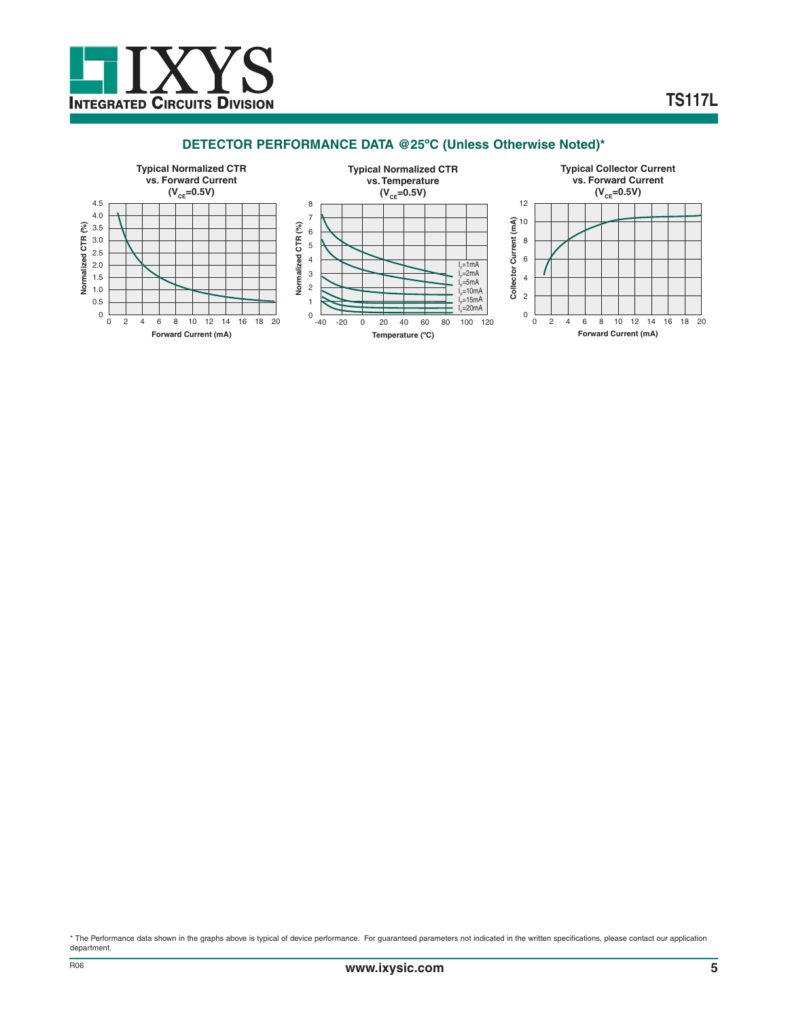

# **DETECTOR PERFORMANCE DATA @25ºC (Unless Otherwise Noted)\***



\* The Performance data shown in the graphs above is typical of device performance. For guaranteed parameters not indicated in the written specifications, please contact our application department.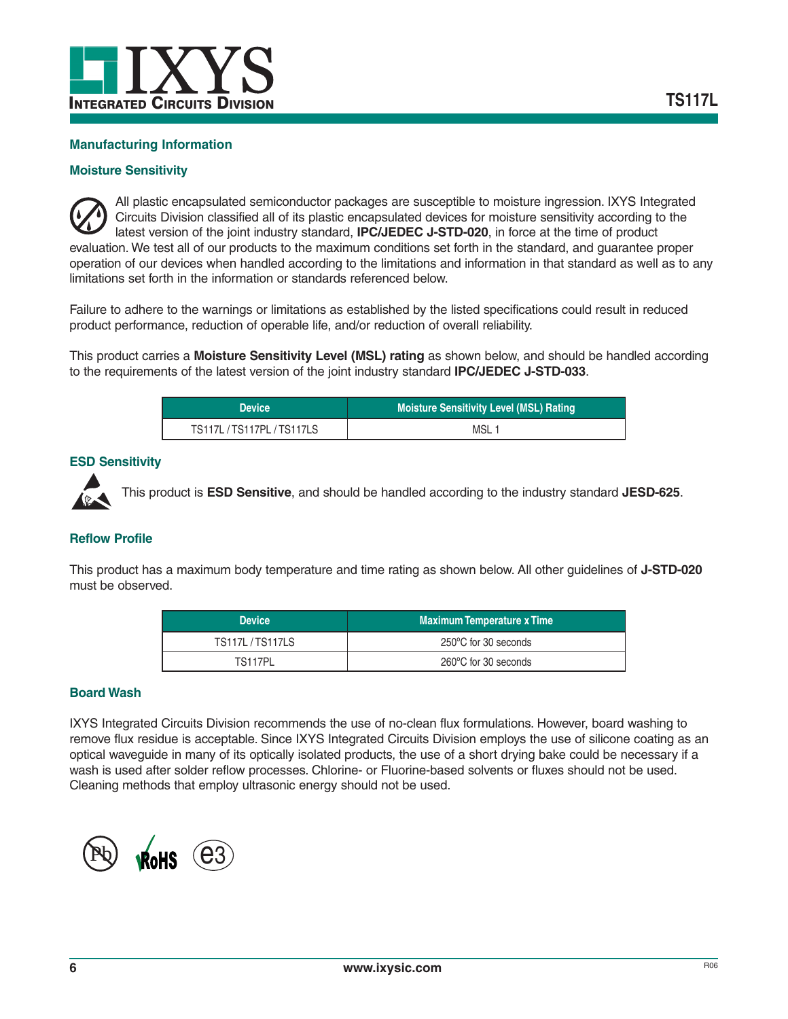

# **Manufacturing Information**

#### **Moisture Sensitivity**

All plastic encapsulated semiconductor packages are susceptible to moisture ingression. IXYS Integrated Circuits Division classified all of its plastic encapsulated devices for moisture sensitivity according to the latest version of the joint industry standard, **IPC/JEDEC J-STD-020**, in force at the time of product evaluation. We test all of our products to the maximum conditions set forth in the standard, and guarantee proper operation of our devices when handled according to the limitations and information in that standard as well as to any limitations set forth in the information or standards referenced below.

Failure to adhere to the warnings or limitations as established by the listed specifications could result in reduced product performance, reduction of operable life, and/or reduction of overall reliability.

This product carries a **Moisture Sensitivity Level (MSL) rating** as shown below, and should be handled according to the requirements of the latest version of the joint industry standard **IPC/JEDEC J-STD-033**.

| <b>Device</b>          | <b>Moisture Sensitivity Level (MSL) Rating</b> |
|------------------------|------------------------------------------------|
| TS117L/TS117PL/TS117LS | MSL 1                                          |

#### **ESD Sensitivity**



This product is **ESD Sensitive**, and should be handled according to the industry standard **JESD-625**.

#### **Reflow Profile**

This product has a maximum body temperature and time rating as shown below. All other guidelines of **J-STD-020** must be observed.

| <b>Device</b>         | <b>Maximum Temperature x Time</b> |  |  |
|-----------------------|-----------------------------------|--|--|
| <b>TS117L/TS117LS</b> | 250°C for 30 seconds              |  |  |
| TS117PL               | 260°C for 30 seconds              |  |  |

#### **Board Wash**

IXYS Integrated Circuits Division recommends the use of no-clean flux formulations. However, board washing to remove flux residue is acceptable. Since IXYS Integrated Circuits Division employs the use of silicone coating as an optical waveguide in many of its optically isolated products, the use of a short drying bake could be necessary if a wash is used after solder reflow processes. Chlorine- or Fluorine-based solvents or fluxes should not be used. Cleaning methods that employ ultrasonic energy should not be used.

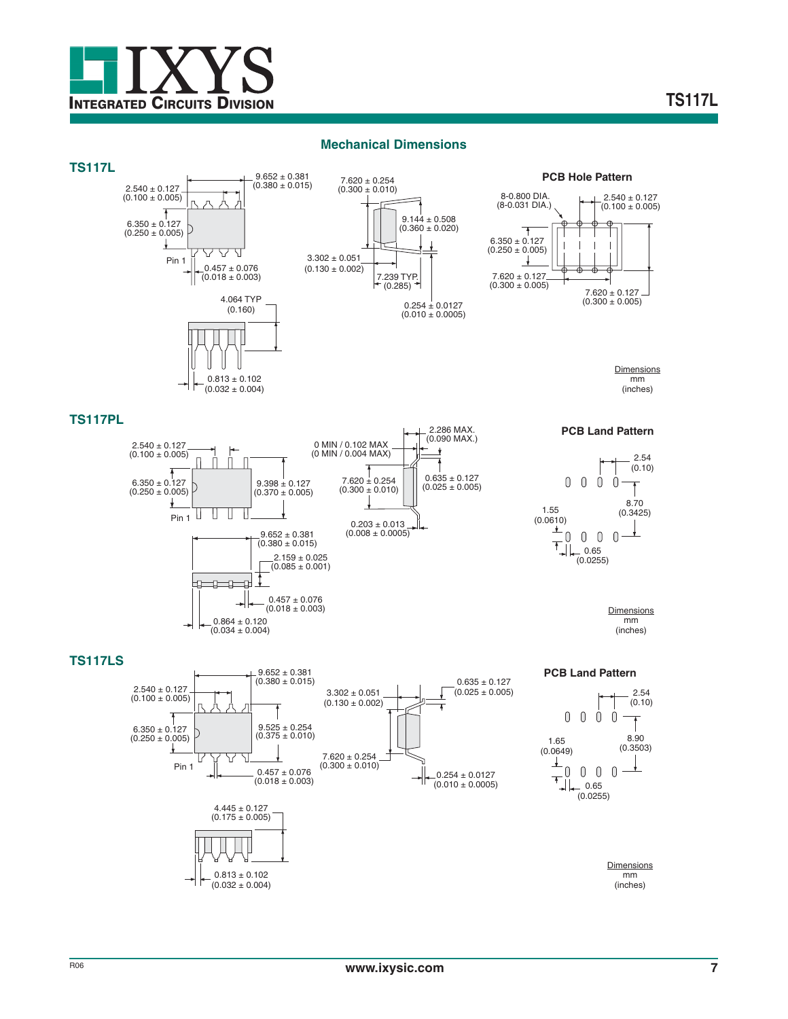

#### **Mechanical Dimensions**